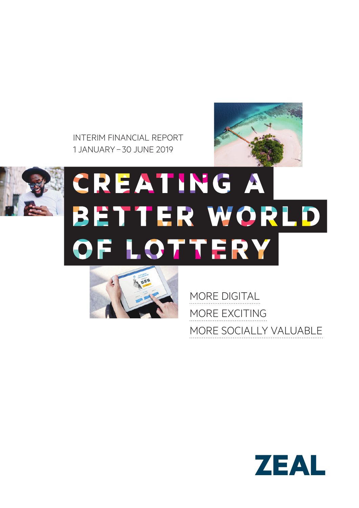INTERIM FINANCIAL REPORT 1 JANUARY– 30 JUNE 2019





# CREATING A BETTER WORLD OF LOTTERY



MORE DIGITAL MORE EXCITING MORE SOCIALLY VALUABLE

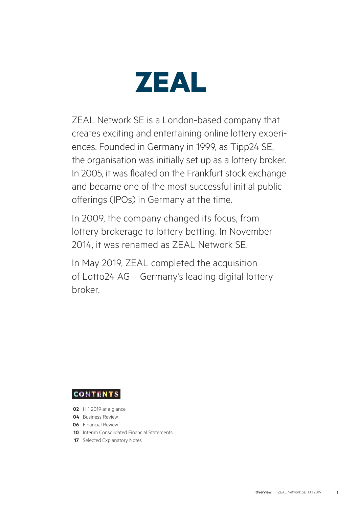

ZEAL Network SE is a London-based company that creates exciting and entertaining online lottery experiences. Founded in Germany in 1999, as Tipp24 SE, the organisation was initially set up as a lottery broker. In 2005, it was floated on the Frankfurt stock exchange and became one of the most successful initial public offerings (IPOs) in Germany at the time.

In 2009, the company changed its focus, from lottery brokerage to lottery betting. In November 2014, it was renamed as ZEAL Network SE.

In May 2019, ZEAL completed the acquisition of Lotto24 AG – Germany's leading digital lottery broker.

**CONTENTS** 

- **02** H 1 2019 at a glance
- **04** Business Review
- **06** Financial Review
- **10** Interim Consolidated Financial Statements
- **17** Selected Explanatory Notes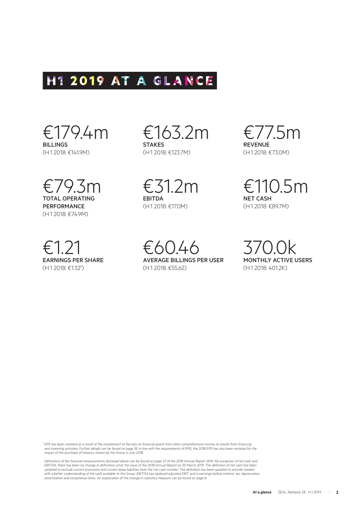# H1 2019 AT A GLANCE

€179.4m BILLINGS (H1 2018: €141.9M)

€79.3m TOTAL OPERATING **PERFORMANCE** (H1 2018: €74.9M)

€1.21 EARNINGS PER SHARE (H1 2018: €1.32<sup>1</sup>)

€163.2m STAKES (H1 2018: €123.7M)

€31.2m EBITDA (H1 2018: €17.0M)

€77.5m **REVENUE** (H1 2018: €73.0M)

€110.5m NET CASH (H1 2018: €89.7M)

€60.46 AVERAGE BILLINGS PER USER (H1 2018: €55.62)

370.0k MONTHLY ACTIVE USERS (H1 2018: 401.2K)

<sup>1</sup> EPS has been restated as a result of the restatement of the loss on financial assets from other comprehensive income to results from financing and investing activities. Further details can be found on page 18. In line with the requirements of IFRS, the 2018 EPS has also been restated for the *impact of the purchase of treasury shares by the Group in July 2018.*

*Definitions of the financial measurements disclosed above can be found on page 23 of the 2018 Annual Report. With the exception of net cash and*  EBITDA, there has been no change in definitions since the issue of the 2018 Annual Report on 20 March 2019. The definition of net cash has been<br>updated to exclude current provisions and current lease liabilities from the n *with a better understanding of the cash available to the Group. EBITDA has replaced adjusted EBIT and is earnings before interest, tax, depreciation, amortisation and exceptional items. An explanation of the change in statutory measure can be found on page 8.*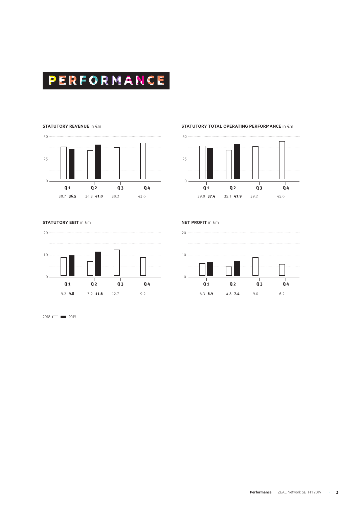

#### **STATUTORY REVENUE** in �m



**STATUTORY TOTAL OPERATING PERFORMANCE** in €m



**STATUTORY EBIT** in €m



2018 **2019** 

**NET PROFIT** in €m

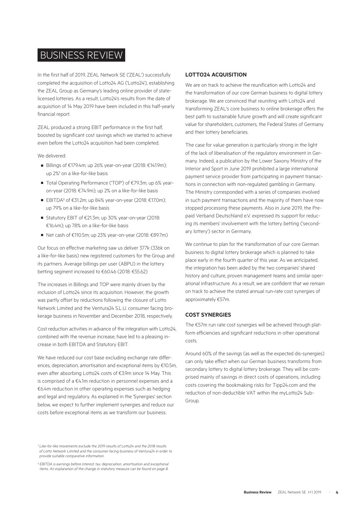## BUSINESS REVIEW

In the first half of 2019, ZEAL Network SE ('ZEAL') successfully completed the acquisition of Lotto24 AG ('Lotto24'), establishing the ZEAL Group as Germany's leading online provider of statelicensed lotteries. As a result, Lotto24's results from the date of acquisition of 14 May 2019 have been included in this half-yearly financial report.

ZEAL produced a strong EBIT performance in the first half, boosted by significant cost savings which we started to achieve even before the Lotto24 acquisition had been completed.

#### We delivered:

- Billings of €179.4m; up 26% year-on-year (2018: €141.9m); up 2%<sup>1</sup> on a like-for-like basis
- Total Operating Performance ('TOP') of €79.3m; up 6% yearon-year (2018: €74.9m); up 2% on a like-for-like basis
- EBITDA² of €31.2m; up 84% year-on-year (2018: €17.0m); up 79% on a like-for-like basis
- Statutory EBIT of €21.3m; up 30% year-on-year (2018: €16.4m); up 78% on a like-for-like basis
- Net cash of €110.5m; up 23% year-on-year (2018: €89.7m)

Our focus on effective marketing saw us deliver 377k (336k on a like-for-like basis) new registered customers for the Group and its partners. Average billings per user (ABPU) in the lottery betting segment increased to €60.46 (2018: €55.62)

The increases in Billings and TOP were mainly driven by the inclusion of Lotto24 since its acquisition. However, the growth was partly offset by reductions following the closure of Lotto Network Limited and the Ventura24 S.L.U. consumer facing brokerage business in November and December 2018, respectively.

Cost reduction activities in advance of the integration with Lotto24, combined with the revenue increase, have led to a pleasing increase in both EBITDA and Statutory EBIT.

We have reduced our cost base excluding exchange rate differences, depreciation, amortisation and exceptional items by €10.5m, even after absorbing Lotto24 costs of €3.9m since 14 May. This is comprised of a €4.1m reduction in personnel expenses and a €6.4m reduction in other operating expenses such as hedging and legal and regulatory. As explained in the 'Synergies' section below, we expect to further implement synergies and reduce our costs before exceptional items as we transform our business.

#### *¹ Like-for-like movements exclude the 2019 results of Lotto24 and the 2018 results of Lotto Network Limited and the consumer facing business of Ventura24 in order to provide suitable comparative information.*

## **LOTTO24 ACQUISITION**

We are on track to achieve the reunification with Lotto24 and the transformation of our core German business to digital lottery brokerage. We are convinced that reuniting with Lotto24 and transforming ZEAL's core business to online brokerage offers the best path to sustainable future growth and will create significant value for shareholders, customers, the Federal States of Germany and their lottery beneficiaries.

The case for value generation is particularly strong in the light of the lack of liberalisation of the regulatory environment in Germany. Indeed, a publication by the Lower Saxony Ministry of the Interior and Sport in June 2019 prohibited a large international payment service provider from participating in payment transactions in connection with non-regulated gambling in Germany. The Ministry corresponded with a series of companies involved in such payment transactions and the majority of them have now stopped processing these payments. Also in June 2019, the Prepaid Verband Deutschland e.V. expressed its support for reducing its members' involvement with the lottery betting ('secondary lottery') sector in Germany.

We continue to plan for the transformation of our core German business to digital lottery brokerage which is planned to take place early in the fourth quarter of this year. As we anticipated, the integration has been aided by the two companies' shared history and culture, proven management teams and similar operational infrastructure. As a result, we are confident that we remain on track to achieve the stated annual run-rate cost synergies of approximately €57m.

#### **COST SYNERGIES**

The €57m run rate cost synergies will be achieved through platform efficiencies and significant reductions in other operational costs.

Around 60% of the savings (as well as the expected dis-synergies) can only take effect when our German business transforms from secondary lottery to digital lottery brokerage. They will be comprised mainly of savings in direct costs of operations, including costs covering the bookmaking risks for Tipp24.com and the reduction of non-deductible VAT within the myLotto24 Sub-Group.

*² EBITDA is earnings before interest, tax, depreciation, amortisation and exceptional items. An explanation of the change in statutory measure can be found on page 8.*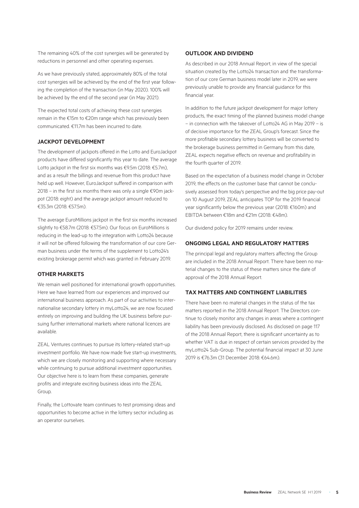The remaining 40% of the cost synergies will be generated by reductions in personnel and other operating expenses.

As we have previously stated, approximately 80% of the total cost synergies will be achieved by the end of the first year following the completion of the transaction (in May 2020). 100% will be achieved by the end of the second year (in May 2021).

The expected total costs of achieving these cost synergies remain in the €15m to €20m range which has previously been communicated. €11.7m has been incurred to date.

## **JACKPOT DEVELOPMENT**

The development of jackpots offered in the Lotto and EuroJackpot products have differed significantly this year to date. The average Lotto jackpot in the first six months was €9.5m (2018: €5.7m), and as a result the billings and revenue from this product have held up well. However, EuroJackpot suffered in comparison with 2018 – in the first six months there was only a single €90m jackpot (2018: eight) and the average jackpot amount reduced to €35.3m (2018: €57.5m).

The average EuroMillions jackpot in the first six months increased slightly to €58.7m (2018: €57.5m). Our focus on EuroMillions is reducing in the lead-up to the integration with Lotto24 because it will not be offered following the transformation of our core German business under the terms of the supplement to Lotto24's existing brokerage permit which was granted in February 2019.

## **OTHER MARKETS**

We remain well positioned for international growth opportunities. Here we have learned from our experiences and improved our international business approach. As part of our activities to internationalise secondary lottery in myLotto24, we are now focused entirely on improving and building the UK business before pursuing further international markets where national licences are available.

ZEAL Ventures continues to pursue its lottery-related start-up investment portfolio. We have now made five start-up investments, which we are closely monitoring and supporting where necessary while continuing to pursue additional investment opportunities. Our objective here is to learn from these companies, generate profits and integrate exciting business ideas into the ZEAL Group.

Finally, the Lottovate team continues to test promising ideas and opportunities to become active in the lottery sector including as an operator ourselves.

#### **OUTLOOK AND DIVIDEND**

As described in our 2018 Annual Report, in view of the special situation created by the Lotto24 transaction and the transformation of our core German business model later in 2019, we were previously unable to provide any financial guidance for this financial year.

In addition to the future jackpot development for major lottery products, the exact timing of the planned business model change – in connection with the takeover of Lotto24 AG in May 2019 – is of decisive importance for the ZEAL Group's forecast. Since the more profitable secondary lottery business will be converted to the brokerage business permitted in Germany from this date, ZEAL expects negative effects on revenue and profitability in the fourth quarter of 2019.

Based on the expectation of a business model change in October 2019, the effects on the customer base that cannot be conclusively assessed from today's perspective and the big price pay-out on 10 August 2019, ZEAL anticipates TOP for the 2019 financial year significantly below the previous year (2018: €160m) and EBITDA between €18m and €21m (2018: €48m).

Our dividend policy for 2019 remains under review.

#### **ONGOING LEGAL AND REGULATORY MATTERS**

The principal legal and regulatory matters affecting the Group are included in the 2018 Annual Report. There have been no material changes to the status of these matters since the date of approval of the 2018 Annual Report.

## **TAX MATTERS AND CONTINGENT LIABILITIES**

There have been no material changes in the status of the tax matters reported in the 2018 Annual Report. The Directors continue to closely monitor any changes in areas where a contingent liability has been previously disclosed. As disclosed on page 117 of the 2018 Annual Report, there is significant uncertainty as to whether VAT is due in respect of certain services provided by the myLotto24 Sub-Group. The potential financial impact at 30 June 2019 is €76.3m (31 December 2018: €64.6m).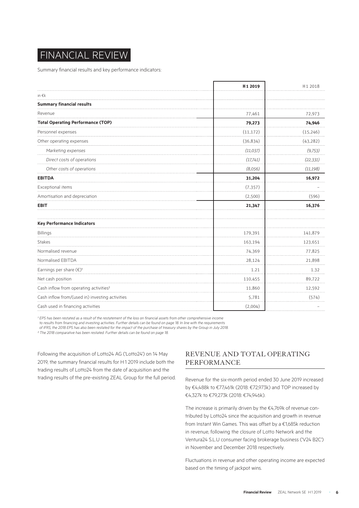# FINANCIAL REVIEW

Summary financial results and key performance indicators:

|                                                    | H <sub>1</sub> 2019 | H1 2018   |
|----------------------------------------------------|---------------------|-----------|
| in $\epsilon$ k                                    |                     |           |
| <b>Summary financial results</b>                   |                     |           |
| Revenue                                            | 77,461              | 72,973    |
| <b>Total Operating Performance (TOP)</b>           | 79,273              | 74,946    |
| Personnel expenses                                 | (11, 172)           | (15, 246) |
| Other operating expenses                           | (36, 834)           | (43, 282) |
| Marketing expenses                                 | (11, 037)           | (9, 753)  |
| Direct costs of operations                         | (17,741)            | (22, 331) |
| Other costs of operations                          | (8,056)             | (11, 198) |
| <b>EBITDA</b>                                      | 31,204              | 16,972    |
| Exceptional items                                  | (7, 357)            |           |
| Amortisation and depreciation                      | (2,500)             | (596)     |
| <b>EBIT</b>                                        | 21,347              | 16,376    |
| <b>Key Performance Indicators</b>                  |                     |           |
| Billings                                           | 179,391             | 141,879   |
| <b>Stakes</b>                                      | 163,194             | 123,651   |
| Normalised revenue                                 | 74,369              | 77,825    |
| Normalised EBITDA                                  | 28,124              | 21,898    |
| Earnings per share $(\epsilon)$ <sup>1</sup>       | 1.21                | 1.32      |
| Net cash position                                  | 110,455             | 89,722    |
| Cash inflow from operating activities <sup>2</sup> | 11,860              | 12,592    |
| Cash inflow from/(used in) investing activities    | 5,781               | (574)     |
| Cash used in financing activities                  | (2,004)             |           |

<sup>1</sup> EPS has been restated as a result of the restatement of the loss on financial assets from other comprehensive income

*to results from financing and investing activities. Further details can be found on page 18. In line with the requirements* 

*of IFRS, the 2018 EPS has also been restated for the impact of the purchase of treasury shares by the Group in July 2018.*

*² The 2018 comparative has been restated. Further details can be found on page 18.* 

Following the acquisition of Lotto24 AG ('Lotto24') on 14 May 2019, the summary financial results for H1 2019 include both the trading results of Lotto24 from the date of acquisition and the trading results of the pre-existing ZEAL Group for the full period.

## REVENUE AND TOTAL OPERATING PERFORMANCE

Revenue for the six-month period ended 30 June 2019 increased by €4,488k to €77,461k (2018: €72,973k) and TOP increased by €4,327k to €79,273k (2018: €74,946k).

The increase is primarily driven by the €4,769k of revenue contributed by Lotto24 since the acquisition and growth in revenue from Instant Win Games. This was offset by a €1,685k reduction in revenue, following the closure of Lotto Network and the Ventura24 S.L.U consumer facing brokerage business ('V24 B2C') in November and December 2018 respectively.

Fluctuations in revenue and other operating income are expected based on the timing of jackpot wins.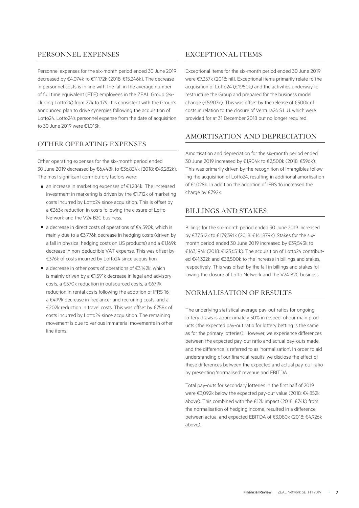## PERSONNEL EXPENSES

Personnel expenses for the six-month period ended 30 June 2019 decreased by €4,074k to €11,172k (2018: €15,246k). The decrease in personnel costs is in line with the fall in the average number of full time equivalent (FTE) employees in the ZEAL Group (excluding Lotto24) from 274 to 179. It is consistent with the Group's announced plan to drive synergies following the acquisition of Lotto24. Lotto24's personnel expense from the date of acquisition to 30 June 2019 were €1,013k.

## OTHER OPERATING EXPENSES

Other operating expenses for the six-month period ended 30 June 2019 decreased by €6,448k to €36,834k (2018: €43,282k). The most significant contributory factors were:

- an increase in marketing expenses of €1,284k. The increased investment in marketing is driven by the €1,712k of marketing costs incurred by Lotto24 since acquisition. This is offset by a €363k reduction in costs following the closure of Lotto Network and the V24 B2C business.
- a decrease in direct costs of operations of €4,590k, which is mainly due to a €3,776k decrease in hedging costs (driven by a fall in physical hedging costs on US products) and a €1,169k decrease in non-deductible VAT expense. This was offset by €376k of costs incurred by Lotto24 since acquisition.
- a decrease in other costs of operations of €3,142k, which is mainly driven by a  $£1,591k$  decrease in legal and advisory costs, a €570k reduction in outsourced costs, a €679k reduction in rental costs following the adoption of IFRS 16, a €499k decrease in freelancer and recruiting costs, and a €202k reduction in travel costs. This was offset by €758k of costs incurred by Lotto24 since acquisition. The remaining movement is due to various immaterial movements in other line items.

## EXCEPTIONAL ITEMS

Exceptional items for the six-month period ended 30 June 2019 were €7,357k (2018: nil). Exceptional items primarily relate to the acquisition of Lotto24 (€1,950k) and the activities underway to restructure the Group and prepared for the business model change (€5,907k). This was offset by the release of €500k of costs in relation to the closure of Ventura24 S.L.U. which were provided for at 31 December 2018 but no longer required.

## AMORTISATION AND DEPRECIATION

Amortisation and depreciation for the six-month period ended 30 June 2019 increased by €1,904k to €2,500k (2018: €596k). This was primarily driven by the recognition of intangibles following the acquisition of Lotto24, resulting in additional amortisation of €1,028k. In addition the adoption of IFRS 16 increased the charge by €792k.

## BILLINGS AND STAKES

Billings for the six-month period ended 30 June 2019 increased by €37,512k to €179,391k (2018: €141,879k). Stakes for the sixmonth period ended 30 June 2019 increased by €39,543k to €163,194k (2018: €123,651k). The acquisition of Lotto24 contributed €41,322k and €38,500k to the increase in billings and stakes, respectively. This was offset by the fall in billings and stakes following the closure of Lotto Network and the V24 B2C business.

## NORMALISATION OF RESULTS

The underlying statistical average pay-out ratios for ongoing lottery draws is approximately 50% in respect of our main products (the expected pay-out ratio for lottery betting is the same as for the primary lotteries). However, we experience differences between the expected pay-out ratio and actual pay-outs made, and the difference is referred to as 'normalisation'. In order to aid understanding of our financial results, we disclose the effect of these differences between the expected and actual pay-out ratio by presenting 'normalised' revenue and EBITDA.

Total pay-outs for secondary lotteries in the first half of 2019 were €3,092k below the expected pay-out value (2018: €4,852k above). This combined with the €12k impact (2018: €74k) from the normalisation of hedging income, resulted in a difference between actual and expected EBITDA of €3,080k (2018: €4,926k above).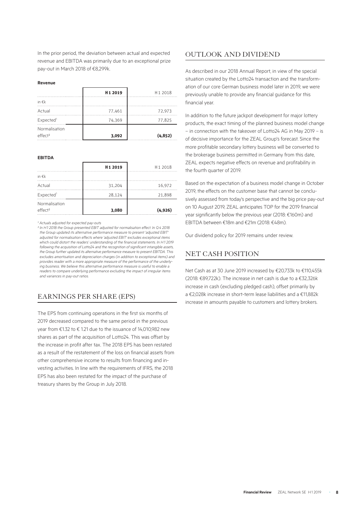In the prior period, the deviation between actual and expected revenue and EBITDA was primarily due to an exceptional prize pay-out in March 2018 of €8,299k.

#### **Revenue**

|                                      | H <sub>12019</sub> | H <sub>1</sub> 2018 |
|--------------------------------------|--------------------|---------------------|
| in $\epsilon$ k                      |                    |                     |
| Actual                               | 77,461             | 72,973              |
| Expected <sup>1</sup>                | 74,369             | 77,825              |
| Normalisation<br>effect <sup>2</sup> | 3,092              | (4, 852)            |

**EBITDA**

|                                      | H <sub>12019</sub> | H1 2018 |
|--------------------------------------|--------------------|---------|
| in $\epsilon$ k                      |                    |         |
| Actual                               | 31,204             | 16,972  |
| Expected <sup>1</sup>                | 28,124             | 21,898  |
| Normalisation<br>effect <sup>2</sup> | 3,080              | (4,926) |

*¹ Actuals adjusted for expected pay-outs*

*² In H1 2018 the Group presented EBIT adjusted for normalisation effect. In Q4 2018 the Group updated its alternative performance measure to present 'adjusted EBIT' adjusted for normalisation effects where 'adjusted EBIT' excludes exceptional items which could distort the readers' understanding of the financial statements. In H1 2019 following the acquisition of Lotto24 and the recognition of significant intangible assets, the Group further updated its alternative performance measure to present EBITDA. This excludes amortisation and depreciation charges (in addition to exceptional items) and provides reader with a more appropriate measure of the performance of the underlying business. We believe this alternative performance measure is useful to enable a readers to compare underlying performance excluding the impact of irregular items and variances in pay-out ratios.*

## EARNINGS PER SHARE (EPS)

The EPS from continuing operations in the first six months of 2019 decreased compared to the same period in the previous year from €1.32 to € 1.21 due to the issuance of 14,010,982 new shares as part of the acquisition of Lotto24. This was offset by the increase in profit after tax. The 2018 EPS has been restated as a result of the restatement of the loss on financial assets from other comprehensive income to results from financing and investing activities. In line with the requirements of IFRS, the 2018 EPS has also been restated for the impact of the purchase of treasury shares by the Group in July 2018.

## OUTLOOK AND DIVIDEND

As described in our 2018 Annual Report, in view of the special situation created by the Lotto24 transaction and the transformation of our core German business model later in 2019, we were previously unable to provide any financial guidance for this financial year.

In addition to the future jackpot development for major lottery products, the exact timing of the planned business model change – in connection with the takeover of Lotto24 AG in May 2019 – is of decisive importance for the ZEAL Group's forecast. Since the more profitable secondary lottery business will be converted to the brokerage business permitted in Germany from this date, ZEAL expects negative effects on revenue and profitability in the fourth quarter of 2019.

Based on the expectation of a business model change in October 2019, the effects on the customer base that cannot be conclusively assessed from today's perspective and the big price pay-out on 10 August 2019, ZEAL anticipates TOP for the 2019 financial year significantly below the previous year (2018: €160m) and EBITDA between €18m and €21m (2018: €48m).

Our dividend policy for 2019 remains under review.

## NET CASH POSITION

Net Cash as at 30 June 2019 increased by €20,733k to €110,455k (2018: €89,722k). The increase in net cash is due to a €32,326k increase in cash (excluding pledged cash), offset primarily by a €2,028k increase in short-term lease liabilities and a €11,882k increase in amounts payable to customers and lottery brokers.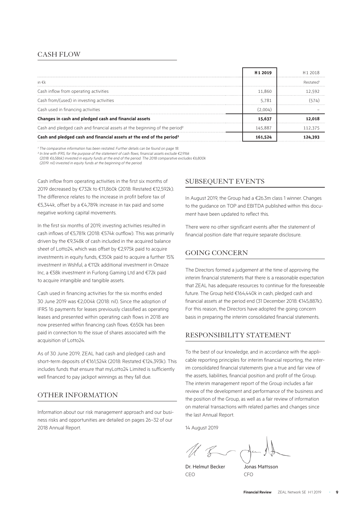## CASH FLOW

|                                                                                        | H <sub>1</sub> 2019 | H <sub>1</sub> 2018 |  |
|----------------------------------------------------------------------------------------|---------------------|---------------------|--|
| in $\epsilon$ k                                                                        |                     | Restated            |  |
| Cash inflow from operating activities                                                  | 11.860              | 12.592              |  |
| Cash from/(used) in investing activities                                               | 5.781               |                     |  |
| Cash used in financing activities                                                      | (2.004)             |                     |  |
| Changes in cash and pledged cash and financial assets                                  | 15.637              |                     |  |
| Cash and pledged cash and financial assets at the beginning of the period <sup>2</sup> | 145.887             | 112 375             |  |
| Cash and pledged cash and financial assets at the end of the period <sup>2</sup>       | 161.524             |                     |  |

<sup>1</sup> The comparative information has been restated. Further details can be found on page 18

*² In line with IFRS, for the purpose of the statement of cash flows, financial assets exclude €2,916k* 

*(2018: €6,586k) invested in equity funds at the end of the period. The 2018 comparative excludes €6,800k* 

*(2019: nil) invested in equity funds at the beginning of the period.* 

Cash inflow from operating activities in the first six months of 2019 decreased by €732k to €11,860k (2018: Restated €12,592k). The difference relates to the increase in profit before tax of €5,344k, offset by a €4,789k increase in tax paid and some negative working capital movements.

In the first six months of 2019, investing activities resulted in cash inflows of €5,781k (2018: €574k outflow). This was primarily driven by the €9,348k of cash included in the acquired balance sheet of Lotto24, which was offset by €2,975k paid to acquire investments in equity funds, €350k paid to acquire a further 15% investment in Wshful, a €112k additional investment in Omaze Inc, a €58k investment in Furlong Gaming Ltd and €72k paid to acquire intangible and tangible assets.

Cash used in financing activities for the six months ended 30 June 2019 was €2,004k (2018: nil). Since the adoption of IFRS 16 payments for leases previously classified as operating leases and presented within operating cash flows in 2018 are now presented within financing cash flows. €650k has been paid in connection to the issue of shares associated with the acquisition of Lotto24.

As of 30 June 2019, ZEAL had cash and pledged cash and short-term deposits of €161,524k (2018: Restated €124,393k). This includes funds that ensure that myLotto24 Limited is sufficiently well financed to pay jackpot winnings as they fall due.

## OTHER INFORMATION

Information about our risk management approach and our business risks and opportunities are detailed on pages 26–32 of our 2018 Annual Report.

## SUBSEQUENT EVENTS

In August 2019, the Group had a €26.3m class 1 winner. Changes to the guidance on TOP and EBITDA published within this document have been updated to reflect this.

There were no other significant events after the statement of financial position date that require separate disclosure.

## GOING CONCERN

The Directors formed a judgement at the time of approving the interim financial statements that there is a reasonable expectation that ZEAL has adequate resources to continue for the foreseeable future. The Group held €164,440k in cash, pledged cash and financial assets at the period end (31 December 2018: €145,887k). For this reason, the Directors have adopted the going concern basis in preparing the interim consolidated financial statements.

## RESPONSIBILITY STATEMENT

To the best of our knowledge, and in accordance with the applicable reporting principles for interim financial reporting, the interim consolidated financial statements give a true and fair view of the assets, liabilities, financial position and profit of the Group. The interim management report of the Group includes a fair review of the development and performance of the business and the position of the Group, as well as a fair review of information on material transactions with related parties and changes since the last Annual Report.

14 August 2019

Dr. Helmut Becker Jonas Mattsson CEO CFO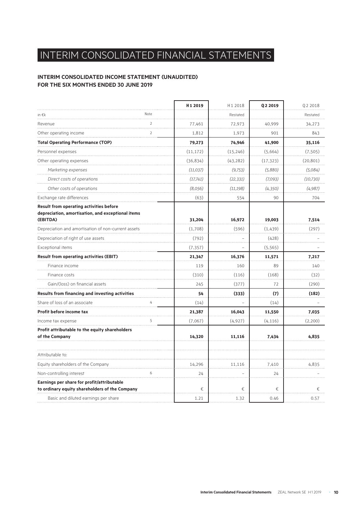# INTERIM CONSOLIDATED FINANCIAL STATEMENTS

## **INTERIM CONSOLIDATED INCOME STATEMENT (UNAUDITED) FOR THE SIX MONTHS ENDED 30 JUNE 2019**

|                                                                                                     |                | H <sub>1</sub> 2019 | H1 2018   | Q <sub>2</sub> 2019 | Q2 2018   |
|-----------------------------------------------------------------------------------------------------|----------------|---------------------|-----------|---------------------|-----------|
| in $\epsilon$ k                                                                                     | Note           |                     | Restated  |                     | Restated  |
| Revenue                                                                                             | $\overline{2}$ | 77,461              | 72,973    | 40,999              | 34,273    |
| Other operating income                                                                              | $\overline{2}$ | 1,812               | 1,973     | 901                 | 843       |
| <b>Total Operating Performance (TOP)</b>                                                            |                | 79,273              | 74,946    | 41,900              | 35,116    |
| Personnel expenses                                                                                  |                | (11, 172)           | (15, 246) | (5,664)             | (7, 505)  |
| Other operating expenses                                                                            |                | (36, 834)           | (43, 282) | (17, 323)           | (20, 801) |
| Marketing expenses                                                                                  |                | (11,037)            | (9,753)   | (5,880)             | (5,084)   |
| Direct costs of operations                                                                          |                | (17,741)            | (22, 331) | (7,093)             | (10, 730) |
| Other costs of operations                                                                           |                | (8,056)             | (11, 198) | (4,350)             | (4,987)   |
| Exchange rate differences                                                                           |                | (63)                | 554       | 90                  | 704       |
| <b>Result from operating activities before</b><br>depreciation, amortisation, and exceptional items |                |                     |           |                     |           |
| (EBITDA)                                                                                            |                | 31,204              | 16,972    | 19,003              | 7,514     |
| Depreciation and amortisation of non-current assets                                                 |                | (1,708)             | (596)     | (1,439)             | (297)     |
| Depreciation of right of use assets                                                                 |                | (792)               |           | (428)               |           |
| Exceptional items                                                                                   |                | (7, 357)            |           | (5, 565)            |           |
| <b>Result from operating activities (EBIT)</b>                                                      |                | 21,347              | 16,376    | 11,571              | 7,217     |
| Finance income                                                                                      |                | 119                 | 160       | 89                  | 140       |
| Finance costs                                                                                       |                | (310)               | (116)     | (168)               | (32)      |
| Gain/(loss) on financial assets                                                                     |                | 245                 | (377)     | 72                  | (290)     |
| Results from financing and investing activities                                                     |                | 54                  | (333)     | (7)                 | (182)     |
| Share of loss of an associate                                                                       | 4              | (14)                |           | (14)                |           |
| Profit before income tax                                                                            |                | 21,387              | 16,043    | 11,550              | 7,035     |
| Income tax expense                                                                                  | 5              | (7,067)             | (4,927)   | (4, 116)            | (2,200)   |
| Profit attributable to the equity shareholders<br>of the Company                                    |                | 14,320              | 11,116    | 7,434               | 4,835     |
|                                                                                                     |                |                     |           |                     |           |
| Attributable to:                                                                                    |                |                     |           |                     |           |
| Equity shareholders of the Company                                                                  |                | 14,296              | 11,116    | 7,410               | 4,835     |
| Non-controlling interest                                                                            | 6              | 24                  |           | 24                  |           |
| Earnings per share for profit/attributable<br>to ordinary equity shareholders of the Company        |                | €                   | €         | €                   | €.        |
| Basic and diluted earnings per share                                                                |                | 1.21                | 1.32      | 0.46                | 0.57      |
|                                                                                                     |                |                     |           |                     |           |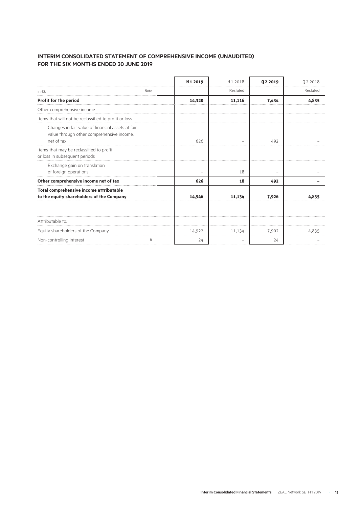## **INTERIM CONSOLIDATED STATEMENT OF COMPREHENSIVE INCOME (UNAUDITED) FOR THE SIX MONTHS ENDED 30 JUNE 2019**

|                                                                                                              |      | H <sub>1</sub> 2019 | H <sub>12018</sub> | 02 2019 | 02 2018  |
|--------------------------------------------------------------------------------------------------------------|------|---------------------|--------------------|---------|----------|
| in $\epsilon$ k                                                                                              | Note |                     | Restated           |         | Restated |
| Profit for the period                                                                                        |      | 14,320              | 11,116             | 7,434   | 4,835    |
| Other comprehensive income                                                                                   |      |                     |                    |         |          |
| Items that will not be reclassified to profit or loss                                                        |      |                     |                    |         |          |
| Changes in fair value of financial assets at fair<br>value through other comprehensive income,<br>net of tax |      | 626                 |                    | 492     |          |
| Items that may be reclassified to profit<br>or loss in subsequent periods                                    |      |                     |                    |         |          |
| Exchange gain on translation<br>of foreign operations                                                        |      |                     | 18                 |         |          |
| Other comprehensive income net of tax                                                                        |      | 626                 | 18                 | 492     |          |
| Total comprehensive income attributable<br>to the equity shareholders of the Company                         |      | 14,946              | 11.134             | 7,926   | 4.835    |
| Attributable to:                                                                                             |      |                     |                    |         |          |
| Equity shareholders of the Company                                                                           |      | 14,922              | 11.134             | 7,902   | 77 Y 37  |
| Non-controlling interest                                                                                     | 6    | 24                  |                    | 24      |          |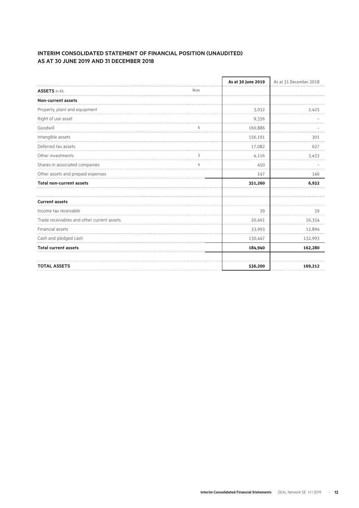## **INTERIM CONSOLIDATED STATEMENT OF FINANCIAL POSITION (UNAUDITED) AS AT 30 JUNE 2019 AND 31 DECEMBER 2018**

|                                            |      | As at 30 June 2019 | As at 31 December 2018 |
|--------------------------------------------|------|--------------------|------------------------|
| <b>ASSETS</b> in €k                        | Note |                    |                        |
| Non-current assets                         |      |                    |                        |
| Property, plant and equipment              |      | 3,032              | 2,425                  |
| Right of use asset                         |      | 9,356              |                        |
| Goodwill                                   |      | 160,886            |                        |
| Intangible assets                          |      | 156,191            | 301                    |
| Deferred tax assets                        |      | 17,082             | 627                    |
| Other investments                          | 3    | 4,116              | 3,433                  |
| Shares in associated companies             | 4    | 450                |                        |
| Other assets and prepaid expenses          |      | 147                | 146                    |
| <b>Total non-current assets</b>            |      | 351,260            | 6,932                  |
| <b>Current assets</b>                      |      |                    |                        |
| Income tax receivable                      |      | 39                 | 39                     |
| Trade receivables and other current assets |      | 20,461             | 16,354                 |
| Financial assets                           |      | 33,993             | 12,894                 |
| Cash and pledged cash                      |      | 130,447            | 132,993                |
| <b>Total current assets</b>                |      | 184,940            | 162,280                |
| <b>TOTAL ASSETS</b>                        |      | 536,200            | 169,212                |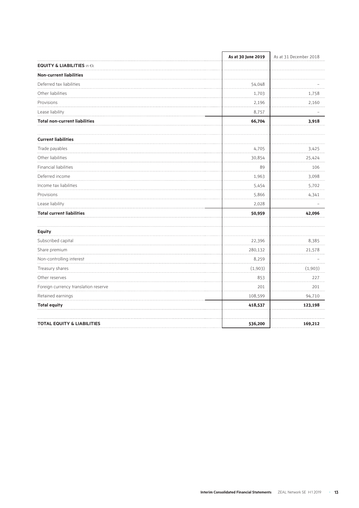|                                       | As at 30 June 2019 | As at 31 December 2018 |  |
|---------------------------------------|--------------------|------------------------|--|
| <b>EQUITY &amp; LIABILITIES</b> in €k |                    |                        |  |
| <b>Non-current liabilities</b>        |                    |                        |  |
| Deferred tax liabilities              | 54,048             |                        |  |
| Other liabilities                     | 1,703              | 1,758                  |  |
| Provisions<br>.                       | 2,196              | 2,160                  |  |
| Lease liability                       | 8,757              |                        |  |
| <b>Total non-current liabilities</b>  | 66,704             | 3,918                  |  |
| <b>Current liabilities</b>            |                    |                        |  |
| Trade payables                        | 4,705              | 3,425                  |  |
| Other liabilities                     | 30,854             | 25,424                 |  |
| Financial liabilities                 | 89                 | 106                    |  |
| Deferred income                       | 1,963              | 3,098                  |  |
| Income tax liabilities                | 5,454              | 5,702                  |  |
| Provisions                            | 5,866              | 4,341                  |  |
| Lease liability                       | 2,028              |                        |  |
| <b>Total current liabilities</b>      | 50,959             | 42,096                 |  |
| <b>Equity</b>                         |                    |                        |  |
| Subscribed capital                    | 22,396             | 8,385                  |  |
| Share premium                         | 280,132            | 21,578                 |  |
| Non-controlling interest              | 8,259              |                        |  |
| Treasury shares                       | (1,903)            | (1,903)                |  |
| Other reserves                        | 853                | 227                    |  |
| Foreign currency translation reserve  | 201                | 201                    |  |
| Retained earnings                     | 108,599            | 94,710                 |  |
| <b>Total equity</b>                   | 418,537            | 123,198                |  |
| <b>TOTAL EQUITY &amp; LIABILITIES</b> | 536,200            | 169,212                |  |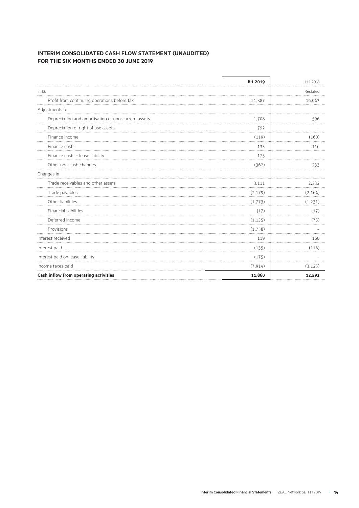## **INTERIM CONSOLIDATED CASH FLOW STATEMENT (UNAUDITED) FOR THE SIX MONTHS ENDED 30 JUNE 2019**

|                                                     | H1 2019  | H12018   |
|-----------------------------------------------------|----------|----------|
| in $\epsilon$ k                                     |          | Restated |
| Profit from continuing operations before tax        | 21,387   | 16,043   |
| Adjustments for                                     |          |          |
| Depreciation and amortisation of non-current assets | 1,708    | 596      |
| Depreciation of right of use assets                 | 792      |          |
| Finance income                                      | (119)    | (160)    |
| Finance costs                                       | 135      | 116      |
| Finance costs - lease liability                     | 175      |          |
| Other non-cash changes                              | (362)    | 233      |
| Changes in                                          |          |          |
| Trade receivables and other assets                  | 3,111    | 2,332    |
| Trade payables                                      | (2, 179) | (2, 164) |
| Other liabilities                                   | (1,773)  | (1,231)  |
| Financial liabilities                               | (17)     | (17)     |
| Deferred income                                     | (1, 135) | (75)     |
| Provisions                                          | (1,758)  |          |
| Interest received                                   | 119      | 160      |
| Interest paid                                       | (135)    | (116)    |
| Interest paid on lease liability                    | (175)    |          |
| Income taxes paid                                   | (7, 914) | (3, 125) |
| Cash inflow from operating activities               | 11,860   | 12,592   |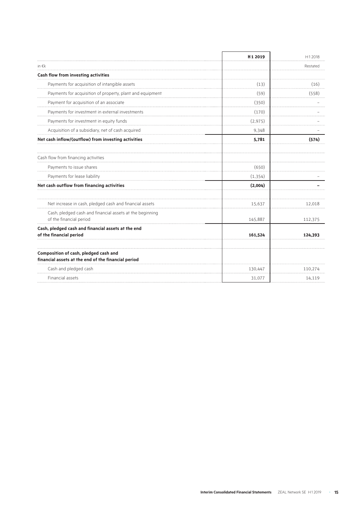|                                                                                     | H <sub>1</sub> 2019 | H12018   |
|-------------------------------------------------------------------------------------|---------------------|----------|
| in $\notin k$                                                                       |                     | Restated |
| Cash flow from investing activities                                                 |                     |          |
| Payments for acquisition of intangible assets                                       | (13)                | (16)     |
| Payments for acquisition of property, plant and equipment                           | (59)                | (558)    |
| Payment for acquisition of an associate                                             | (350)               |          |
| Payments for investment in external investments                                     | (170)               |          |
| Payments for investment in equity funds                                             | (2, 975)            |          |
| Acquisition of a subsidiary, net of cash acquired                                   | 9,348               |          |
| Net cash inflow/(outflow) from investing activities                                 | 5,781               | (574)    |
| Cash flow from financing activities                                                 |                     |          |
| Payments to issue shares                                                            | (650)               |          |
| Payments for lease liability                                                        | (1, 354)            |          |
| Net cash outflow from financing activities                                          | (2,004)             |          |
| Net increase in cash, pledged cash and financial assets                             | 15,637              | 12,018   |
| Cash, pledged cash and financial assets at the beginning<br>of the financial period | 145,887             | 112,375  |
| Cash, pledged cash and financial assets at the end<br>of the financial period       | 161,524             | 124,393  |
| Composition of cash, pledged cash and                                               |                     |          |
| financial assets at the end of the financial period                                 |                     |          |
| Cash and pledged cash                                                               | 130,447             | 110.274  |
| Financial assets                                                                    | 31,077              | 14,119   |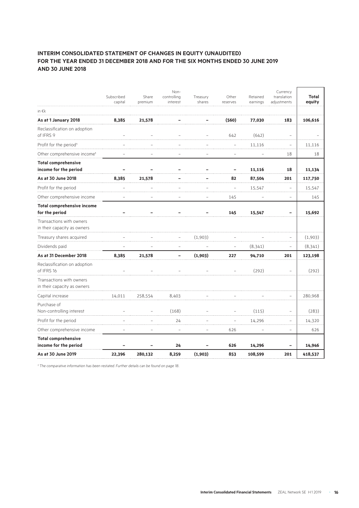## **INTERIM CONSOLIDATED STATEMENT OF CHANGES IN EQUITY (UNAUDITED) FOR THE YEAR ENDED 31 DECEMBER 2018 AND FOR THE SIX MONTHS ENDED 30 JUNE 2019 AND 30 JUNE 2018**

|                                                         | Subscribed<br>capital | Share<br>premium | Non-<br>controlling<br>interest | Treasury<br>shares | Other<br>reserves | Retained<br>earnings | Currency<br>translation<br>adjustments | Total<br>equity |
|---------------------------------------------------------|-----------------------|------------------|---------------------------------|--------------------|-------------------|----------------------|----------------------------------------|-----------------|
| in $\epsilon$ k                                         |                       |                  |                                 |                    |                   |                      |                                        |                 |
| As at 1 January 2018                                    | 8,385                 | 21,578           |                                 |                    | (560)             | 77,030               | 183                                    | 106,616         |
| Reclassification on adoption<br>of IFRS 9               |                       |                  |                                 |                    | 642               | (642)                |                                        |                 |
| Profit for the period <sup>1</sup>                      |                       |                  |                                 |                    |                   | 11,116               |                                        | 11,116          |
| Other comprehensive income <sup>1</sup>                 |                       |                  |                                 |                    |                   |                      | 18                                     | 18              |
| <b>Total comprehensive</b><br>income for the period     |                       |                  |                                 |                    |                   | 11,116               | 18                                     | 11,134          |
| As at 30 June 2018                                      | 8,385                 | 21,578           |                                 |                    | 82                | 87,504               | 201                                    | 117,750         |
| Profit for the period                                   |                       |                  |                                 |                    |                   | 15,547               |                                        | 15,547          |
| Other comprehensive income                              |                       |                  |                                 |                    | 145               |                      | $\overline{\phantom{0}}$               | 145             |
| <b>Total comprehensive income</b><br>for the period     |                       |                  |                                 |                    | 145               | 15,547               |                                        | 15,692          |
| Transactions with owners<br>in their capacity as owners |                       |                  |                                 |                    |                   |                      |                                        |                 |
| Treasury shares acquired                                |                       |                  |                                 | (1,903)            |                   |                      |                                        | (1,903)         |
| Dividends paid                                          |                       |                  |                                 |                    |                   | (8, 341)             | $\overline{\phantom{0}}$               | (8, 341)        |
| As at 31 December 2018                                  | 8,385                 | 21,578           |                                 | (1,903)            | 227               | 94,710               | 201                                    | 123,198         |
| Reclassification on adoption<br>of IFRS 16              |                       |                  |                                 |                    |                   | (292)                |                                        | (292)           |
| Transactions with owners<br>in their capacity as owners |                       |                  |                                 |                    |                   |                      |                                        |                 |
| Capital increase                                        | 14,011                | 258,554          | 8,403                           |                    |                   |                      |                                        | 280,968         |
| Purchase of<br>Non-controlling interest                 |                       |                  | (168)                           |                    |                   | (115)                |                                        | (283)           |
| Profit for the period                                   |                       |                  | 24                              |                    |                   | 14,296               | ÷                                      | 14,320          |
| Other comprehensive income                              |                       |                  |                                 |                    | 626               |                      | $\overline{\phantom{0}}$               | 626             |
| <b>Total comprehensive</b><br>income for the period     |                       |                  | 24                              |                    | 626               | 14,296               |                                        | 14,946          |
| As at 30 June 2019                                      | 22,396                | 280,132          | 8,259                           | (1,903)            | 853               | 108,599              | 201                                    | 418,537         |

*¹ The comparative information has been restated. Further details can be found on page 18..*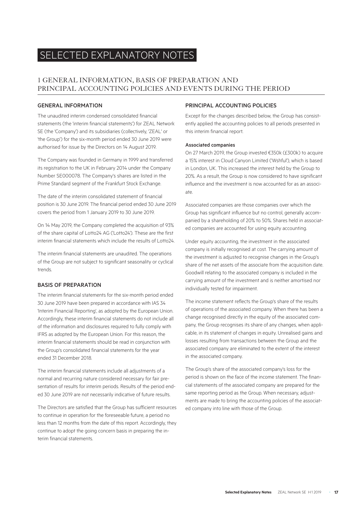# SELECTED EXPLANATORY NOTES

## 1 GENERAL INFORMATION, BASIS OF PREPARATION AND PRINCIPAL ACCOUNTING POLICIES AND EVENTS DURING THE PERIOD

## GENERAL INFORMATION

The unaudited interim condensed consolidated financial statements (the 'interim financial statements') for ZEAL Network SE (the 'Company') and its subsidiaries (collectively, 'ZEAL' or 'the Group') for the six-month period ended 30 June 2019 were authorised for issue by the Directors on 14 August 2019.

The Company was founded in Germany in 1999 and transferred its registration to the UK in February 2014 under the Company Number SE000078. The Company's shares are listed in the Prime Standard segment of the Frankfurt Stock Exchange.

The date of the interim consolidated statement of financial position is 30 June 2019. The financial period ended 30 June 2019 covers the period from 1 January 2019 to 30 June 2019.

On 14 May 2019, the Company completed the acquisition of 93% of the share capital of Lotto24 AG ('Lotto24'). These are the first interim financial statements which include the results of Lotto24.

The interim financial statements are unaudited. The operations of the Group are not subject to significant seasonality or cyclical trends.

### BASIS OF PREPARATION

The interim financial statements for the six-month period ended 30 June 2019 have been prepared in accordance with IAS 34 'Interim Financial Reporting', as adopted by the European Union. Accordingly, these interim financial statements do not include all of the information and disclosures required to fully comply with IFRS as adopted by the European Union. For this reason, the interim financial statements should be read in conjunction with the Group's consolidated financial statements for the year ended 31 December 2018.

The interim financial statements include all adjustments of a normal and recurring nature considered necessary for fair presentation of results for interim periods. Results of the period ended 30 June 2019 are not necessarily indicative of future results.

The Directors are satisfied that the Group has sufficient resources to continue in operation for the foreseeable future, a period no less than 12 months from the date of this report. Accordingly, they continue to adopt the going concern basis in preparing the interim financial statements.

## PRINCIPAL ACCOUNTING POLICIES

Except for the changes described below, the Group has consistently applied the accounting policies to all periods presented in this interim financial report.

#### Associated companies

On 27 March 2019, the Group invested €350k (£300k) to acquire a 15% interest in Cloud Canyon Limited ('Wshful'), which is based in London, UK. This increased the interest held by the Group to 20%. As a result, the Group is now considered to have significant influence and the investment is now accounted for as an associate.

Associated companies are those companies over which the Group has significant influence but no control, generally accompanied by a shareholding of 20% to 50%. Shares held in associated companies are accounted for using equity accounting.

Under equity accounting, the investment in the associated company is initially recognised at cost. The carrying amount of the investment is adjusted to recognise changes in the Group's share of the net assets of the associate from the acquisition date. Goodwill relating to the associated company is included in the carrying amount of the investment and is neither amortised nor individually tested for impairment.

The income statement reflects the Group's share of the results of operations of the associated company. When there has been a change recognised directly in the equity of the associated company, the Group recognises its share of any changes, when applicable, in its statement of changes in equity. Unrealised gains and losses resulting from transactions between the Group and the associated company are eliminated to the extent of the interest in the associated company.

The Group's share of the associated company's loss for the period is shown on the face of the income statement. The financial statements of the associated company are prepared for the same reporting period as the Group. When necessary, adjustments are made to bring the accounting policies of the associated company into line with those of the Group.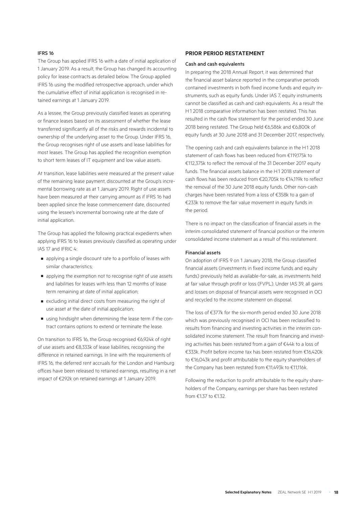#### IFRS 16

The Group has applied IFRS 16 with a date of initial application of 1 January 2019. As a result, the Group has changed its accounting policy for lease contracts as detailed below. The Group applied IFRS 16 using the modified retrospective approach, under which the cumulative effect of initial application is recognised in retained earnings at 1 January 2019.

As a lessee, the Group previously classified leases as operating or finance leases based on its assessment of whether the lease transferred significantly all of the risks and rewards incidental to ownership of the underlying asset to the Group. Under IFRS 16, the Group recognises right of use assets and lease liabilities for most leases. The Group has applied the recognition exemption to short term leases of IT equipment and low value assets.

At transition, lease liabilities were measured at the present value of the remaining lease payment, discounted at the Group's incremental borrowing rate as at 1 January 2019. Right of use assets have been measured at their carrying amount as if IFRS 16 had been applied since the lease commencement date, discounted using the lessee's incremental borrowing rate at the date of initial application.

The Group has applied the following practical expedients when applying IFRS 16 to leases previously classified as operating under IAS 17 and IFRIC 4:

- applying a single discount rate to a portfolio of leases with similar characteristics;
- applying the exemption not to recognise right of use assets and liabilities for leases with less than 12 months of lease term remaining at date of initial application;
- excluding initial direct costs from measuring the right of use asset at the date of initial application;
- using hindsight when determining the lease term if the contract contains options to extend or terminate the lease.

On transition to IFRS 16, the Group recognised €6,924k of right of use assets and €8,333k of lease liabilities, recognising the difference in retained earnings. In line with the requirements of IFRS 16, the deferred rent accruals for the London and Hamburg offices have been released to retained earnings, resulting in a net impact of €292k on retained earnings at 1 January 2019.

#### **PRIOR PERIOD RESTATEMENT**

#### Cash and cash equivalents

In preparing the 2018 Annual Report, it was determined that the financial asset balance reported in the comparative periods contained investments in both fixed income funds and equity instruments, such as equity funds. Under IAS 7, equity instruments cannot be classified as cash and cash equivalents. As a result the H1 2018 comparative information has been restated. This has resulted in the cash flow statement for the period ended 30 June 2018 being restated. The Group held €6,586k and €6,800k of equity funds at 30 June 2018 and 31 December 2017, respectively.

The opening cash and cash equivalents balance in the H1 2018 statement of cash flows has been reduced from €119,175k to €112,375k to reflect the removal of the 31 December 2017 equity funds. The financial assets balance in the H1 2018 statement of cash flows has been reduced from €20,705k to €14,119k to reflect the removal of the 30 June 2018 equity funds. Other non-cash charges have been restated from a loss of €358k to a gain of €233k to remove the fair value movement in equity funds in the neriod.

There is no impact on the classification of financial assets in the interim consolidated statement of financial position or the interim consolidated income statement as a result of this restatement.

#### Financial assets

On adoption of IFRS 9 on 1 January 2018, the Group classified financial assets (investments in fixed income funds and equity funds) previously held as available-for-sale, as investments held at fair value through profit or loss (FVPL). Under IAS 39, all gains and losses on disposal of financial assets were recognised in OCI and recycled to the income statement on disposal.

The loss of €377k for the six-month period ended 30 June 2018 which was previously recognised in OCI has been reclassified to results from financing and investing activities in the interim consolidated income statement. The result from financing and investing activities has been restated from a gain of €44k to a loss of €333k. Profit before income tax has been restated from €16,420k to €16,043k and profit attributable to the equity shareholders of the Company has been restated from €11,493k to €11,116k.

Following the reduction to profit attributable to the equity shareholders of the Company, earnings per share has been restated from €1.37 to €1.32.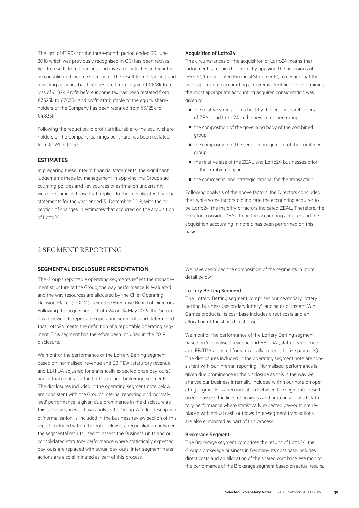The loss of €290k for the three-month period ended 30 June 2018 which was previously recognised in OCI has been reclassified to results from financing and investing activities in the interim consolidated income statement. The result from financing and investing activities has been restated from a gain of €108k to a loss of €182k. Profit before income tax has been restated from €7,325k to €7,035k and profit attributable to the equity shareholders of the Company has been restated from €5,125k to €4,835k.

Following the reduction to profit attributable to the equity shareholders of the Company, earnings per share has been restated from  $€0.61$  to  $€0.57$ .

#### **ESTIMATES**

In preparing these interim financial statements, the significant judgements made by management in applying the Group's accounting policies and key sources of estimation uncertainty were the same as those that applied to the consolidated financial statements for the year ended 31 December 2018, with the exception of changes in estimates that occurred on the acquisition of Lotto24.

#### Acquisition of Lotto24

The circumstances of the acquisition of Lotto24 means that judgement is required in correctly applying the provisions of IFRS 10, 'Consolidated Financial Statements', to ensure that the most appropriate accounting acquirer is identified. In determining the most appropriate accounting acquirer, consideration was given to:

- the relative voting rights held by the legacy shareholders of ZEAL and Lotto24 in the new combined group;
- the composition of the governing body of the combined group;
- the composition of the senior management of the combined group;
- the relative size of the ZEAL and Lotto24 businesses prior to the combination; and
- the commercial and strategic rational for the transaction.

Following analysis of the above factors, the Directors concluded that, while some factors did indicate the accounting acquirer to be Lotto24, the majority of factors indicated ZEAL. Therefore, the Directors consider ZEAL to be the accounting acquirer and the acquisition accounting in note 6 has been performed on this basis.

## 2 SEGMENT REPORTING

#### **SEGMENTAL DISCLOSURE PRESENTATION**

The Group's reportable operating segments reflect the management structure of the Group, the way performance is evaluated and the way resources are allocated by the Chief Operating Decision Maker (CODM), being the Executive Board of Directors. Following the acquisition of Lotto24 on 14 May 2019, the Group has reviewed its reportable operating segments and determined that Lotto24 meets the definition of a reportable operating segment. This segment has therefore been included in the 2019 disclosure.

We monitor the performance of the Lottery Betting segment based on 'normalised' revenue and EBITDA (statutory revenue and EBITDA adjusted for statistically expected prize pay-outs) and actual results for the Lottovate and brokerage segments. The disclosures included in the operating segment note below are consistent with the Group's internal reporting and 'normalised' performance is given due prominence in the disclosure as this is the way in which we analyse the Group. A fuller description of 'normalisation' is included in the business review section of this report. Included within the note below is a reconciliation between the segmental results used to assess the Business units and our consolidated statutory performance where statistically expected pay-outs are replaced with actual pay-outs. Inter-segment transactions are also eliminated as part of this process.

We have described the composition of the segments in more detail below:

#### Lottery Betting Segment

The Lottery Betting segment comprises our secondary lottery betting business (secondary lottery), and sales of Instant Win Games products. Its cost base includes direct costs and an allocation of the shared cost base.

We monitor the performance of the Lottery Betting segment based on 'normalised' revenue and EBITDA (statutory revenue and EBITDA adjusted for statistically expected prize pay-outs). The disclosures included in the operating segment note are consistent with our internal reporting. 'Normalised' performance is given due prominence in the disclosure as this is the way we analyse our business internally. Included within our note on operating segments is a reconciliation between the segmental results used to assess the lines of business and our consolidated statutory performance where statistically expected pay-outs are replaced with actual cash outflows. Inter-segment transactions are also eliminated as part of this process.

#### Brokerage Segment

The Brokerage segment comprises the results of Lotto24, the Group's brokerage business in Germany. Its cost base includes direct costs and an allocation of the shared cost base. We monitor the performance of the Brokerage segment based on actual results.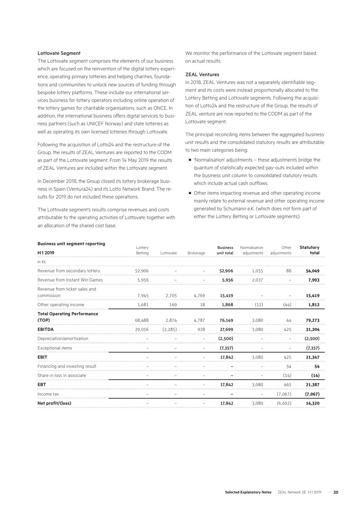#### Lottovate Segment

The Lottovate segment comprises the elements of our business which are focused on the reinvention of the digital lottery experience, operating primary lotteries and helping charities, foundations and communities to unlock new sources of funding through bespoke lottery platforms. These include our international services business for lottery operators including online operation of the lottery games for charitable organisations, such as ONCE. In addition, the international business offers digital services to business partners (such as UNICEF Norway) and state lotteries as well as operating its own licensed lotteries through Lottovate.

Following the acquisition of Lotto24 and the restructure of the Group, the results of ZEAL Ventures are reported to the CODM as part of the Lottovate segment. From 14 May 2019 the results of ZEAL Ventures are included within the Lottovate segment.

In December 2018, the Group closed its lottery brokerage business in Spain (Ventura24) and its Lotto Network Brand. The results for 2019 do not included these operations.

The Lottovate segment's results comprise revenues and costs attributable to the operating activities of Lottovate together with an allocation of the shared cost base.

We monitor the performance of the Lottovate segment based on actual results.

#### ZEAL Ventures

In 2018, ZEAL Ventures was not a separately identifiable segment and its costs were instead proportionally allocated to the Lottery Betting and Lottovate segments. Following the acquisition of Lotto24 and the restructure of the Group, the results of ZEAL venture are now reported to the CODM as part of the Lottovate segment.

The principal reconciling items between the aggregated business unit results and the consolidated statutory results are attributable to two main categories being:

- 'Normalisation' adjustments these adjustments bridge the quantum of statistically expected pay-outs included within the business unit column to consolidated statutory results which include actual cash outflows.
- Other items impacting revenue and other operating income mainly relate to external revenue and other operating income generated by Schumann e.K. (which does not form part of either the Lottery Betting or Lottovate segments).

| <b>Business unit segment reporting</b>      | Lottery |           |                          | <b>Business</b> | Normalisation            | Other             | <b>Statutory</b> |
|---------------------------------------------|---------|-----------|--------------------------|-----------------|--------------------------|-------------------|------------------|
| H12019                                      | Betting | Lottovate | Brokerage                | unit total      | adjustments              | adjustments       | total            |
| in $\epsilon$ k                             |         |           |                          |                 |                          |                   |                  |
| Revenue from secondary lottery              | 52.906  |           |                          | 52,906          | 1.055                    | 88                | 54,049           |
| Revenue from Instant Win Games              | 5,956   |           |                          | 5,956           | 2.037                    |                   | 7.993            |
| Revenue from ticket sales and<br>commission | 7,945   | 2,705     | 4,769                    | 15,419          |                          |                   | 15,419           |
| Other operating income                      | 1.681   | 169       | 18                       | 1,868           | (12)                     | (44)              | 1,812            |
| <b>Total Operating Performance</b><br>(TOP) | 68,488  | 2,874     | 4,787                    | 76,149          | 3,080                    | 44                | 79,273           |
| <b>EBITDA</b>                               | 29,056  | (2, 285)  | 928                      | 27,699          | 3,080                    | 425               | 31,204           |
| Depreciation/amortisation                   |         |           |                          | (2,500)         |                          |                   | (2,500)          |
| Exceptional items                           |         |           | $\overline{\phantom{m}}$ | (7, 357)        |                          | $\qquad \qquad -$ | (7, 357)         |
| <b>EBIT</b>                                 |         |           |                          | 17,842          | 3,080                    | 425               | 21,347           |
| Financing and investing result              |         |           |                          |                 |                          | 54                | 54               |
| Share in loss in associate                  |         |           |                          |                 |                          | (14)              | (14)             |
| <b>EBT</b>                                  |         |           |                          | 17.842          | 3.080                    | 465               | 21,387           |
| Income tax                                  |         |           |                          |                 | $\overline{\phantom{0}}$ | (7,067)           | (7,067)          |
| Net profit/(loss)                           |         |           |                          | 17,842          | 3,080                    | (6,602)           | 14,320           |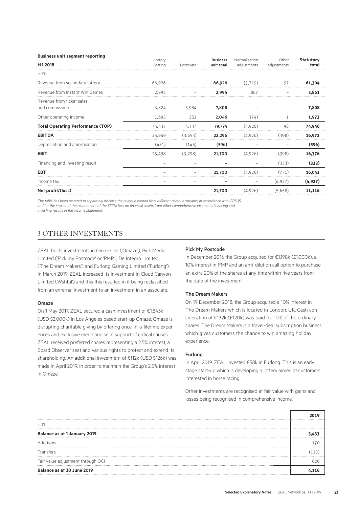| <b>Business unit segment reporting</b>   |                    |           |                               |                              | Other       | <b>Statutory</b> |
|------------------------------------------|--------------------|-----------|-------------------------------|------------------------------|-------------|------------------|
| H12018                                   | Lottery<br>Betting | Lottovate | <b>Business</b><br>unit total | Normalisation<br>adjustments | adjustments | total            |
| in $\epsilon$ k                          |                    |           |                               |                              |             |                  |
| Revenue from secondary lottery           | 66.926             |           | 66,926                        | (5.719)                      | 97          | 61,304           |
| Revenue from Instant Win Games           | 2.994              |           | 2,994                         | 867                          |             | 3.861            |
| Revenue from ticket sales                |                    |           |                               |                              |             |                  |
| and commission                           | 3.824              | 3,984     | 7,808                         |                              |             | 7.808            |
| Other operating income                   | 1,693              | 353       | 2,046                         | (74)                         |             | 1,973            |
| <b>Total Operating Performance (TOP)</b> | 75,437             | 4,337     | 79,774                        | (4,926)                      | 98          | 74,946           |
| <b>EBITDA</b>                            | 25,949             | (3,653)   | 22,296                        | (4,926)                      | (398)       | 16,972           |
| Depreciation and amortisation            | (451)              | (145)     | (596)                         |                              |             | (596)            |
| <b>EBIT</b>                              | 25,498             | (3.798)   | 21,700                        | (4,926)                      | (398)       | 16,376           |
| Financing and investing result           |                    |           |                               |                              | (333)       | (333)            |
| <b>EBT</b>                               |                    |           | 21,700                        | (4,926)                      | (731)       | 16,043           |
| Income tax                               |                    |           |                               |                              | (4,927)     | (4, 927)         |
| Net profit/(loss)                        |                    |           | 21,700                        | (4,926)                      | (5,658)     | 11,116           |

*The table has been restated to separately disclose the revenue earned from different revenue streams, in accordance with IFRS 15,*  and for the impact of the restatement of the €377k loss on financial assets from other comprehensive income to financing and *investing results in the income statement.* 

## 3 OTHER INVESTMENTS

ZEAL holds investments in Omaze Inc ('Omaze'), Pick Media Limited ('Pick my Postcode' or 'PMP'), De Integro Limited ('The Dream Makers') and Furlong Gaming Limited ('Furlong'). In March 2019, ZEAL increased its investment in Cloud Canyon Limited ('Wshful') and this this resulted in it being reclassified from an external investment to an investment in an associate.

#### Omaze

On 1 May 2017, ZEAL secured a cash investment of €1,843k (USD \$2,000k) in Los Angeles based start-up Omaze. Omaze is disrupting charitable giving by offering once-in-a-lifetime experiences and exclusive merchandise in support of critical causes. ZEAL received preferred shares representing a 2.5% interest, a Board Observer seat and various rights to protect and extend its shareholding. An additional investment of €112k (USD \$126k) was made in April 2019, in order to maintain the Group's 2.5% interest in Omaze.

#### Pick My Postcode

In December 2016 the Group acquired for €1,198k (£1,000k), a 10% interest in PMP and an anti-dilution call option to purchase an extra 20% of the shares at any time within five years from the date of the investment.

#### The Dream Makers

On 19 December 2018, the Group acquired a 10% interest in The Dream Makers which is located in London, UK. Cash consideration of €132k (£120k) was paid for 10% of the ordinary shares. The Dream Makers is a travel-deal subscription business which gives customers the chance to win amazing holiday experience.

#### Furlong

In April 2019, ZEAL invested €58k in Furlong. This is an early stage start-up which is developing a lottery aimed at customers interested in horse racing.

Other investments are recognised at fair value with gains and losses being recognised in comprehensive income.

| in $\epsilon$ k                   |  |
|-----------------------------------|--|
| Balance as at 1 January 2019      |  |
| Additions                         |  |
| Transfers                         |  |
| Fair value adjustment through OCI |  |
| Balance as at 30 June 2019        |  |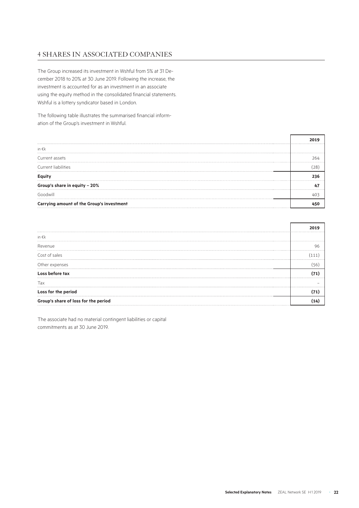## 4 SHARES IN ASSOCIATED COMPANIES

The Group increased its investment in Wshful from 5% at 31 December 2018 to 20% at 30 June 2019. Following the increase, the investment is accounted for as an investment in an associate using the equity method in the consolidated financial statements. Wshful is a lottery syndicator based in London.

The following table illustrates the summarised financial information of the Group's investment in Wshful.

|                                           | . |
|-------------------------------------------|---|
| in $\epsilon$ k                           |   |
| Current assets                            |   |
| Current liabilities                       |   |
|                                           |   |
| Group's share in equity - 20%             |   |
| Goodwill                                  |   |
| Carrying amount of the Group's investment |   |

|                                      | . |
|--------------------------------------|---|
| in $\epsilon$ k                      |   |
| Revenue                              |   |
| Cost of sales                        |   |
| Other expenses                       |   |
| Loss before tax                      |   |
| Тах                                  |   |
| Loss for the period                  |   |
| Group's share of loss for the period |   |

The associate had no material contingent liabilities or capital commitments as at 30 June 2019.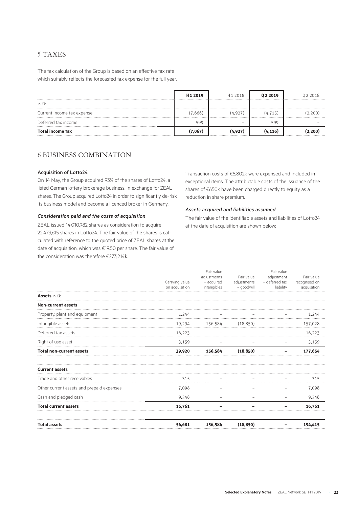## 5 TAXES

The tax calculation of the Group is based on an effective tax rate which suitably reflects the forecasted tax expense for the full year.

|                            | H <sub>1</sub> 2019 | H <sub>12018</sub> | 02 2019  | 02 2018 |
|----------------------------|---------------------|--------------------|----------|---------|
| in $\epsilon$ k            |                     |                    |          |         |
| Current income tax expense | (7,666)             | (4,927)            | (4, 715) | 200     |
| Deferred tax income        | 599                 | -                  | 599      |         |
| <b>Total income tax</b>    | 7.067)              | (4,927)            | (4, 116) | 200     |

## 6 BUSINESS COMBINATION

#### Acquisition of Lotto24

On 14 May, the Group acquired 93% of the shares of Lotto24, a listed German lottery brokerage business, in exchange for ZEAL shares. The Group acquired Lotto24 in order to significantly de-risk its business model and become a licenced broker in Germany.

#### *Consideration paid and the costs of acquisition*

ZEAL issued 14,010,982 shares as consideration to acquire 22,473,615 shares in Lotto24. The fair value of the shares is calculated with reference to the quoted price of ZEAL shares at the date of acquisition, which was €19.50 per share. The fair value of the consideration was therefore €273,214k.

Transaction costs of €5,802k were expensed and included in exceptional items. The attributable costs of the issuance of the shares of €650k have been charged directly to equity as a reduction in share premium.

#### *Assets acquired and liabilities assumed*

The fair value of the identifiable assets and liabilities of Lotto24 at the date of acquisition are shown below:

|                                           | Carrying value<br>on acquisition | Fair value<br>adjustments<br>- acquired<br>intangibles | Fair value<br>adjustments<br>- goodwill | Fair value<br>adjustment<br>- deferred tax<br>liability | Fair value<br>recognised on<br>acquisition |
|-------------------------------------------|----------------------------------|--------------------------------------------------------|-----------------------------------------|---------------------------------------------------------|--------------------------------------------|
| <b>Assets</b> in $\in$ k                  |                                  |                                                        |                                         |                                                         |                                            |
| <b>Non-current assets</b>                 |                                  |                                                        |                                         |                                                         |                                            |
| Property, plant and equipment             | 1,244                            |                                                        |                                         |                                                         | 1.244                                      |
| Intangible assets                         | 19,294                           | 156,584                                                | (18, 850)                               |                                                         | 157,028                                    |
| Deferred tax assets                       | 16,223                           |                                                        |                                         |                                                         | 16,223                                     |
| Right of use asset                        | 3,159                            |                                                        |                                         |                                                         | 3,159                                      |
| <b>Total non-current assets</b>           | 39,920                           | 156,584                                                | (18, 850)                               |                                                         | 177,654                                    |
| <b>Current assets</b>                     |                                  |                                                        |                                         |                                                         |                                            |
| Trade and other receivables               | 315                              |                                                        |                                         |                                                         | 315                                        |
| Other current assets and prepaid expenses | 7,098                            |                                                        |                                         |                                                         | 7,098                                      |
| Cash and pledged cash                     | 9,348                            |                                                        |                                         |                                                         | 9,348                                      |
| <b>Total current assets</b>               | 16.761                           |                                                        |                                         |                                                         | 16.761                                     |
| <b>Total assets</b>                       | 56,681                           | 156,584                                                | (18, 850)                               |                                                         | 194,415                                    |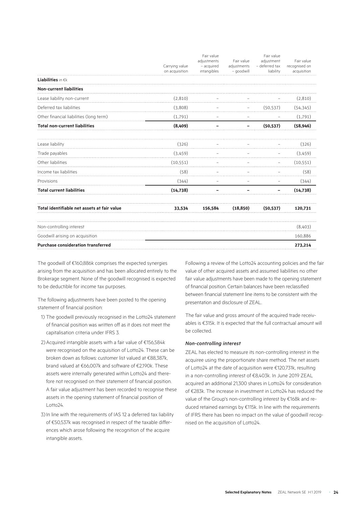|           | Fair value                       | Fair value                               |                                         | Fair value                   |
|-----------|----------------------------------|------------------------------------------|-----------------------------------------|------------------------------|
|           |                                  | adjustment                               |                                         |                              |
|           |                                  |                                          |                                         | recognised on<br>acquisition |
|           |                                  |                                          |                                         |                              |
|           |                                  |                                          |                                         |                              |
|           |                                  |                                          |                                         |                              |
| (2,810)   |                                  |                                          |                                         | (2,810)                      |
| (3,808)   |                                  |                                          | (50, 537)                               | (54, 345)                    |
| (1,791)   |                                  |                                          |                                         | (1,791)                      |
| (8,409)   |                                  |                                          | (50, 537)                               | (58, 946)                    |
| (326)     |                                  |                                          |                                         | (326)                        |
| (3,459)   |                                  |                                          |                                         | (3,459)                      |
| (10, 551) |                                  |                                          |                                         | (10, 551)                    |
| (58)      |                                  |                                          |                                         | (58)                         |
| (344)     |                                  |                                          |                                         | (344)                        |
| (14, 738) |                                  |                                          |                                         | (14, 738)                    |
| 33,534    | 156,584                          | (18, 850)                                | (50, 537)                               | 120,731                      |
|           |                                  |                                          |                                         | (8,403)                      |
|           |                                  |                                          |                                         | 160,886                      |
|           |                                  |                                          |                                         | 273,214                      |
|           | Carrying value<br>on acquisition | adjustments<br>- acquired<br>intangibles | Fair value<br>adjustments<br>- goodwill | - deferred tax<br>liability  |

The goodwill of €160,886k comprises the expected synergies arising from the acquisition and has been allocated entirely to the Brokerage segment. None of the goodwill recognised is expected to be deductible for income tax purposes.

The following adjustments have been posted to the opening statement of financial position:

- 1) The goodwill previously recognised in the Lotto24 statement of financial position was written off as it does not meet the capitalisation criteria under IFRS 3.
- 2) Acquired intangible assets with a fair value of €156,584k were recognised on the acquisition of Lotto24. These can be broken down as follows: customer list valued at €88,387k, brand valued at €66,007k and software of €2,190k. These assets were internally generated within Lotto24 and therefore not recognised on their statement of financial position. A fair value adjustment has been recorded to recognise these assets in the opening statement of financial position of Lotto24.
- 3) In line with the requirements of IAS 12 a deferred tax liability of €50,537k was recognised in respect of the taxable differences which arose following the recognition of the acquire intangible assets.

Following a review of the Lotto24 accounting policies and the fair value of other acquired assets and assumed liabilities no other fair value adjustments have been made to the opening statement of financial position. Certain balances have been reclassified between financial statement line items to be consistent with the presentation and disclosure of ZEAL.

The fair value and gross amount of the acquired trade receivables is €315k. It is expected that the full contractual amount will be collected.

#### *Non-controlling interest*

ZEAL has elected to measure its non-controlling interest in the acquiree using the proportionate share method. The net assets of Lotto24 at the date of acquisition were €120,731k, resulting in a non-controlling interest of €8,403k. In June 2019 ZEAL acquired an additional 21,300 shares in Lotto24 for consideration of €283k. The increase in investment in Lotto24 has reduced the value of the Group's non-controlling interest by €168k and reduced retained earnings by €115k. In line with the requirements of IFRS there has been no impact on the value of goodwill recognised on the acquisition of Lotto24.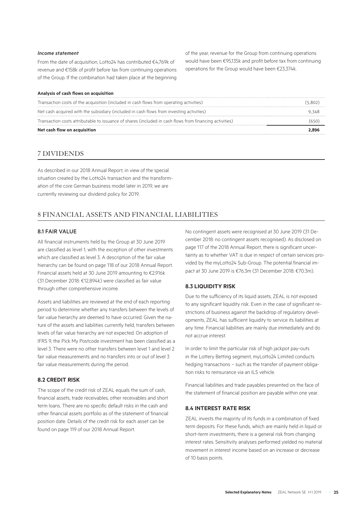#### *Income statement*

From the date of acquisition, Lotto24 has contributed €4,769k of revenue and €158k of profit before tax from continuing operations of the Group. If the combination had taken place at the beginning

#### **Analysis of cash flows on acquisition**

of the year, revenue for the Group from continuing operations would have been €95,135k and profit before tax from continuing operations for the Group would have been €23,374k.

| Net cash flow on acquisition                                                                            | 2.896   |
|---------------------------------------------------------------------------------------------------------|---------|
| Transaction costs attributable to issuance of shares (included in cash flows from financing activities) | 650     |
| Net cash acquired with the subsidiary (included in cash flows from investing activities)                | 9.348   |
| Transaction costs of the acquisition (included in cash flows from operating activities)                 | (5.802) |
|                                                                                                         |         |

## 7 DIVIDENDS

As described in our 2018 Annual Report, in view of the special situation created by the Lotto24 transaction and the transformation of the core German business model later in 2019, we are currently reviewing our dividend policy for 2019.

## 8 FINANCIAL ASSETS AND FINANCIAL LIABILITIES

#### 8.1 FAIR VALUE

All financial instruments held by the Group at 30 June 2019 are classified as level 1, with the exception of other investments which are classified as level 3. A description of the fair value hierarchy can be found on page 118 of our 2018 Annual Report. Financial assets held at 30 June 2019 amounting to €2,916k (31 December 2018: €12,894k) were classified as fair value through other comprehensive income.

Assets and liabilities are reviewed at the end of each reporting period to determine whether any transfers between the levels of fair value hierarchy are deemed to have occurred. Given the nature of the assets and liabilities currently held, transfers between levels of fair value hierarchy are not expected. On adoption of IFRS 9, the Pick My Postcode investment has been classified as a level 3. There were no other transfers between level 1 and level 2 fair value measurements and no transfers into or out of level 3 fair value measurements during the period.

#### **8.2 CREDIT RISK**

The scope of the credit risk of ZEAL equals the sum of cash. financial assets, trade receivables, other receivables and short term loans. There are no specific default risks in the cash and other financial assets portfolio as of the statement of financial position date. Details of the credit risk for each asset can be found on page 119 of our 2018 Annual Report.

No contingent assets were recognised at 30 June 2019 (31 December 2018: no contingent assets recognised). As disclosed on page 117 of the 2018 Annual Report, there is significant uncertainty as to whether VAT is due in respect of certain services provided by the myLotto24 Sub-Group. The potential financial impact at 30 June 2019 is €76.3m (31 December 2018: €70.3m).

### **8.3 LIQUIDITY RISK**

Due to the sufficiency of its liquid assets, ZEAL is not exposed to any significant liquidity risk. Even in the case of significant restrictions of business against the backdrop of regulatory developments, ZEAL has sufficient liquidity to service its liabilities at any time. Financial liabilities are mainly due immediately and do not accrue interest.

In order to limit the particular risk of high jackpot pay-outs in the Lottery Betting segment, myLotto24 Limited conducts hedging transactions – such as the transfer of payment obligation risks to reinsurance via an ILS vehicle.

Financial liabilities and trade payables presented on the face of the statement of financial position are payable within one year.

#### **8.4 INTEREST RATE RISK**

ZEAL invests the majority of its funds in a combination of fixed term deposits. For these funds, which are mainly held in liquid or short-term investments, there is a general risk from changing interest rates. Sensitivity analyses performed yielded no material movement in interest income based on an increase or decrease of 10 basis points.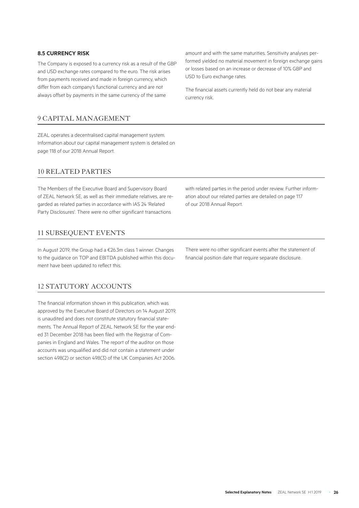#### **8.5 CURRENCY RISK**

The Company is exposed to a currency risk as a result of the GBP and USD exchange rates compared to the euro. The risk arises from payments received and made in foreign currency, which differ from each company's functional currency and are not always offset by payments in the same currency of the same

## 9 CAPITAL MANAGEMENT

ZEAL operates a decentralised capital management system. Information about our capital management system is detailed on page 118 of our 2018 Annual Report.

## 10 RELATED PARTIES

The Members of the Executive Board and Supervisory Board of ZEAL Network SE, as well as their immediate relatives, are regarded as related parties in accordance with IAS 24 'Related Party Disclosures'. There were no other significant transactions

## 11 SUBSEQUENT EVENTS

In August 2019, the Group had a €26.3m class 1 winner. Changes to the guidance on TOP and EBITDA published within this document have been updated to reflect this.

## 12 STATUTORY ACCOUNTS

The financial information shown in this publication, which was approved by the Executive Board of Directors on 14 August 2019, is unaudited and does not constitute statutory financial statements. The Annual Report of ZEAL Network SE for the year ended 31 December 2018 has been filed with the Registrar of Companies in England and Wales. The report of the auditor on those accounts was unqualified and did not contain a statement under section 498(2) or section 498(3) of the UK Companies Act 2006.

amount and with the same maturities. Sensitivity analyses performed yielded no material movement in foreign exchange gains or losses based on an increase or decrease of 10% GBP and USD to Euro exchange rates.

The financial assets currently held do not bear any material currency risk.

with related parties in the period under review. Further information about our related parties are detailed on page 117 of our 2018 Annual Report.

There were no other significant events after the statement of financial position date that require separate disclosure.